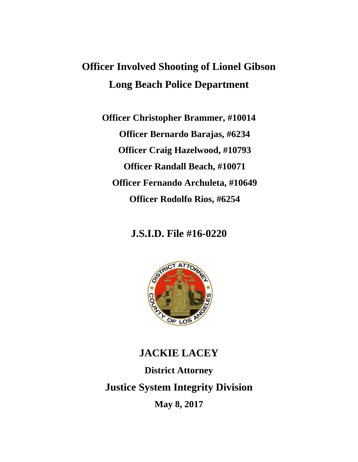# **Officer Involved Shooting of Lionel Gibson Long Beach Police Department**

**Officer Christopher Brammer, #10014 Officer Bernardo Barajas, #6234 Officer Craig Hazelwood, #10793 Officer Randall Beach, #10071 Officer Fernando Archuleta, #10649 Officer Rodolfo Rios, #6254**

**J.S.I.D. File #16-0220**



# **JACKIE LACEY District Attorney Justice System Integrity Division May 8, 2017**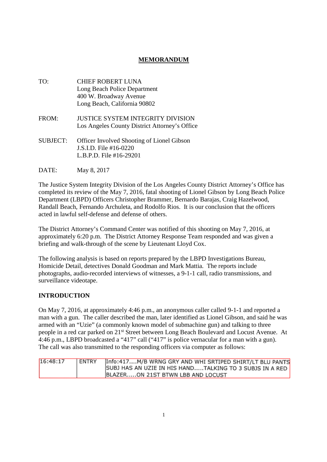# **MEMORANDUM**

TO: CHIEF ROBERT LUNA Long Beach Police Department 400 W. Broadway Avenue Long Beach, California 90802 FROM: JUSTICE SYSTEM INTEGRITY DIVISION Los Angeles County District Attorney's Office SUBJECT: Officer Involved Shooting of Lionel Gibson J.S.I.D. File #16-0220 L.B.P.D. File #16-29201

DATE: May 8, 2017

The Justice System Integrity Division of the Los Angeles County District Attorney's Office has completed its review of the May 7, 2016, fatal shooting of Lionel Gibson by Long Beach Police Department (LBPD) Officers Christopher Brammer, Bernardo Barajas, Craig Hazelwood, Randall Beach, Fernando Archuleta, and Rodolfo Rios. It is our conclusion that the officers acted in lawful self-defense and defense of others.

The District Attorney's Command Center was notified of this shooting on May 7, 2016, at approximately 6:20 p.m. The District Attorney Response Team responded and was given a briefing and walk-through of the scene by Lieutenant Lloyd Cox.

The following analysis is based on reports prepared by the LBPD Investigations Bureau, Homicide Detail, detectives Donald Goodman and Mark Mattia. The reports include photographs, audio-recorded interviews of witnesses, a 9-1-1 call, radio transmissions, and surveillance videotape.

### **INTRODUCTION**

On May 7, 2016, at approximately 4:46 p.m., an anonymous caller called 9-1-1 and reported a man with a gun. The caller described the man, later identified as Lionel Gibson, and said he was armed with an "Uzie" (a commonly known model of submachine gun) and talking to three people in a red car parked on 21st Street between Long Beach Boulevard and Locust Avenue. At 4:46 p.m., LBPD broadcasted a "417" call ("417" is police vernacular for a man with a gun). The call was also transmitted to the responding officers via computer as follows:

| 16:48:17 | ENTRY | Info:417M/B WRNG GRY AND WHI SRTIPED SHIRT/LT BLU PANTS |
|----------|-------|---------------------------------------------------------|
|          |       | SUBJ HAS AN UZIE IN HIS HANDTALKING TO 3 SUBJS IN A RED |
|          |       | BLAZERON 21ST BTWN LBB AND LOCUST                       |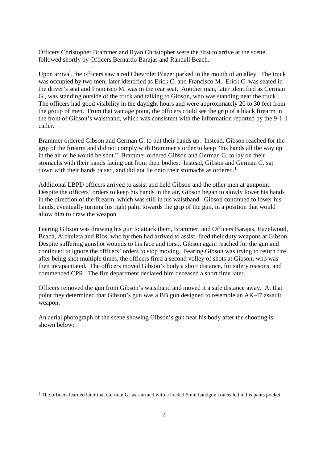Officers Christopher Brammer and Ryan Christopher were the first to arrive at the scene, followed shortly by Officers Bernardo Barajas and Randall Beach.

Upon arrival, the officers saw a red Chevrolet Blazer parked in the mouth of an alley. The truck was occupied by two men, later identified as Erick C. and Francisco M. Erick C. was seated in the driver's seat and Francisco M. was in the rear seat. Another man, later identified as German G., was standing outside of the truck and talking to Gibson, who was standing near the truck. The officers had good visibility in the daylight hours and were approximately 20 to 30 feet from the group of men. From that vantage point, the officers could see the grip of a black firearm in the front of Gibson's waistband, which was consistent with the information reported by the 9-1-1 caller.

Brammer ordered Gibson and German G. to put their hands up. Instead, Gibson reached for the grip of the firearm and did not comply with Brammer's order to keep "his hands all the way up in the air or he would be shot." Brammer ordered Gibson and German G. to lay on their stomachs with their hands facing out from their bodies. Instead, Gibson and German G. sat down with their hands raised, and did not lie onto their stomachs as ordered.<sup>1</sup>

Additional LBPD officers arrived to assist and held Gibson and the other men at gunpoint. Despite the officers' orders to keep his hands in the air, Gibson began to slowly lower his hands in the direction of the firearm, which was still in his waistband. Gibson continued to lower his hands, eventually turning his right palm towards the grip of the gun, in a position that would allow him to draw the weapon.

Fearing Gibson was drawing his gun to attack them, Brammer, and Officers Barajas, Hazelwood, Beach, Archuleta and Rios, who by then had arrived to assist, fired their duty weapons at Gibson. Despite suffering gunshot wounds to his face and torso, Gibson again reached for the gun and continued to ignore the officers' orders to stop moving. Fearing Gibson was trying to return fire after being shot multiple times, the officers fired a second volley of shots at Gibson, who was then incapacitated. The officers moved Gibson's body a short distance, for safety reasons, and commenced CPR. The fire department declared him deceased a short time later.

Officers removed the gun from Gibson's waistband and moved it a safe distance away. At that point they determined that Gibson's gun was a BB gun designed to resemble an AK-47 assault weapon.

An aerial photograph of the scene showing Gibson's gun near his body after the shooting is shown below:

<sup>&</sup>lt;sup>1</sup> The officers learned later that German G. was armed with a loaded 9mm handgun concealed in his pants pocket.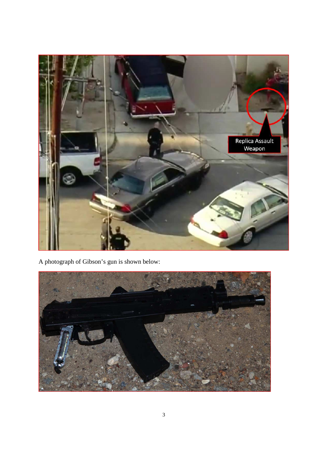

A photograph of Gibson's gun is shown below:

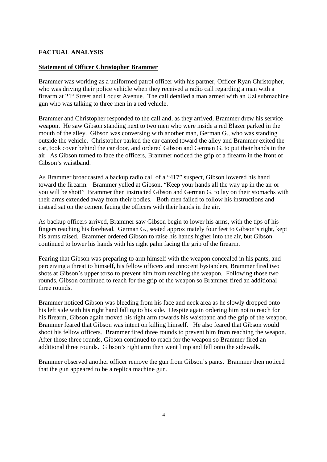## **FACTUAL ANALYSIS**

### **Statement of Officer Christopher Brammer**

Brammer was working as a uniformed patrol officer with his partner, Officer Ryan Christopher, who was driving their police vehicle when they received a radio call regarding a man with a firearm at 21<sup>st</sup> Street and Locust Avenue. The call detailed a man armed with an Uzi submachine gun who was talking to three men in a red vehicle.

Brammer and Christopher responded to the call and, as they arrived, Brammer drew his service weapon. He saw Gibson standing next to two men who were inside a red Blazer parked in the mouth of the alley. Gibson was conversing with another man, German G., who was standing outside the vehicle. Christopher parked the car canted toward the alley and Brammer exited the car, took cover behind the car door, and ordered Gibson and German G. to put their hands in the air. As Gibson turned to face the officers, Brammer noticed the grip of a firearm in the front of Gibson's waistband.

As Brammer broadcasted a backup radio call of a "417" suspect, Gibson lowered his hand toward the firearm. Brammer yelled at Gibson, "Keep your hands all the way up in the air or you will be shot!" Brammer then instructed Gibson and German G. to lay on their stomachs with their arms extended away from their bodies. Both men failed to follow his instructions and instead sat on the cement facing the officers with their hands in the air.

As backup officers arrived, Brammer saw Gibson begin to lower his arms, with the tips of his fingers reaching his forehead. German G., seated approximately four feet to Gibson's right, kept his arms raised. Brammer ordered Gibson to raise his hands higher into the air, but Gibson continued to lower his hands with his right palm facing the grip of the firearm.

Fearing that Gibson was preparing to arm himself with the weapon concealed in his pants, and perceiving a threat to himself, his fellow officers and innocent bystanders, Brammer fired two shots at Gibson's upper torso to prevent him from reaching the weapon. Following those two rounds, Gibson continued to reach for the grip of the weapon so Brammer fired an additional three rounds.

Brammer noticed Gibson was bleeding from his face and neck area as he slowly dropped onto his left side with his right hand falling to his side. Despite again ordering him not to reach for his firearm, Gibson again moved his right arm towards his waistband and the grip of the weapon. Brammer feared that Gibson was intent on killing himself. He also feared that Gibson would shoot his fellow officers. Brammer fired three rounds to prevent him from reaching the weapon. After those three rounds, Gibson continued to reach for the weapon so Brammer fired an additional three rounds. Gibson's right arm then went limp and fell onto the sidewalk.

Brammer observed another officer remove the gun from Gibson's pants. Brammer then noticed that the gun appeared to be a replica machine gun.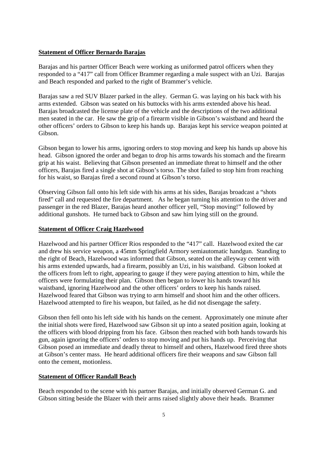#### **Statement of Officer Bernardo Barajas**

Barajas and his partner Officer Beach were working as uniformed patrol officers when they responded to a "417" call from Officer Brammer regarding a male suspect with an Uzi. Barajas and Beach responded and parked to the right of Brammer's vehicle.

Barajas saw a red SUV Blazer parked in the alley. German G. was laying on his back with his arms extended. Gibson was seated on his buttocks with his arms extended above his head. Barajas broadcasted the license plate of the vehicle and the descriptions of the two additional men seated in the car. He saw the grip of a firearm visible in Gibson's waistband and heard the other officers' orders to Gibson to keep his hands up. Barajas kept his service weapon pointed at Gibson.

Gibson began to lower his arms, ignoring orders to stop moving and keep his hands up above his head. Gibson ignored the order and began to drop his arms towards his stomach and the firearm grip at his waist. Believing that Gibson presented an immediate threat to himself and the other officers, Barajas fired a single shot at Gibson's torso. The shot failed to stop him from reaching for his waist, so Barajas fired a second round at Gibson's torso.

Observing Gibson fall onto his left side with his arms at his sides, Barajas broadcast a "shots fired" call and requested the fire department. As he began turning his attention to the driver and passenger in the red Blazer, Barajas heard another officer yell, "Stop moving!" followed by additional gunshots. He turned back to Gibson and saw him lying still on the ground.

#### **Statement of Officer Craig Hazelwood**

Hazelwood and his partner Officer Rios responded to the "417" call. Hazelwood exited the car and drew his service weapon, a 45mm Springfield Armory semiautomatic handgun. Standing to the right of Beach, Hazelwood was informed that Gibson, seated on the alleyway cement with his arms extended upwards, had a firearm, possibly an Uzi, in his waistband. Gibson looked at the officers from left to right, appearing to gauge if they were paying attention to him, while the officers were formulating their plan. Gibson then began to lower his hands toward his waistband, ignoring Hazelwood and the other officers' orders to keep his hands raised. Hazelwood feared that Gibson was trying to arm himself and shoot him and the other officers. Hazelwood attempted to fire his weapon, but failed, as he did not disengage the safety.

Gibson then fell onto his left side with his hands on the cement. Approximately one minute after the initial shots were fired, Hazelwood saw Gibson sit up into a seated position again, looking at the officers with blood dripping from his face. Gibson then reached with both hands towards his gun, again ignoring the officers' orders to stop moving and put his hands up. Perceiving that Gibson posed an immediate and deadly threat to himself and others, Hazelwood fired three shots at Gibson's center mass. He heard additional officers fire their weapons and saw Gibson fall onto the cement, motionless.

#### **Statement of Officer Randall Beach**

Beach responded to the scene with his partner Barajas, and initially observed German G. and Gibson sitting beside the Blazer with their arms raised slightly above their heads. Brammer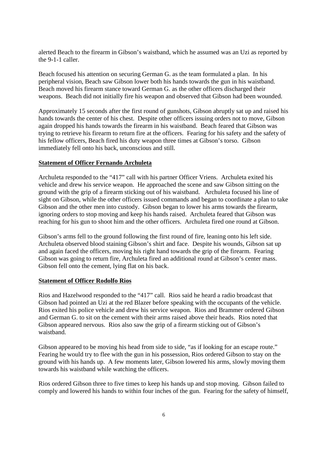alerted Beach to the firearm in Gibson's waistband, which he assumed was an Uzi as reported by the 9-1-1 caller.

Beach focused his attention on securing German G. as the team formulated a plan. In his peripheral vision, Beach saw Gibson lower both his hands towards the gun in his waistband. Beach moved his firearm stance toward German G. as the other officers discharged their weapons. Beach did not initially fire his weapon and observed that Gibson had been wounded.

Approximately 15 seconds after the first round of gunshots, Gibson abruptly sat up and raised his hands towards the center of his chest. Despite other officers issuing orders not to move, Gibson again dropped his hands towards the firearm in his waistband. Beach feared that Gibson was trying to retrieve his firearm to return fire at the officers. Fearing for his safety and the safety of his fellow officers, Beach fired his duty weapon three times at Gibson's torso. Gibson immediately fell onto his back, unconscious and still.

#### **Statement of Officer Fernando Archuleta**

Archuleta responded to the "417" call with his partner Officer Vriens. Archuleta exited his vehicle and drew his service weapon. He approached the scene and saw Gibson sitting on the ground with the grip of a firearm sticking out of his waistband. Archuleta focused his line of sight on Gibson, while the other officers issued commands and began to coordinate a plan to take Gibson and the other men into custody. Gibson began to lower his arms towards the firearm, ignoring orders to stop moving and keep his hands raised. Archuleta feared that Gibson was reaching for his gun to shoot him and the other officers. Archuleta fired one round at Gibson.

Gibson's arms fell to the ground following the first round of fire, leaning onto his left side. Archuleta observed blood staining Gibson's shirt and face. Despite his wounds, Gibson sat up and again faced the officers, moving his right hand towards the grip of the firearm. Fearing Gibson was going to return fire, Archuleta fired an additional round at Gibson's center mass. Gibson fell onto the cement, lying flat on his back.

#### **Statement of Officer Rodolfo Rios**

Rios and Hazelwood responded to the "417" call. Rios said he heard a radio broadcast that Gibson had pointed an Uzi at the red Blazer before speaking with the occupants of the vehicle. Rios exited his police vehicle and drew his service weapon. Rios and Brammer ordered Gibson and German G. to sit on the cement with their arms raised above their heads. Rios noted that Gibson appeared nervous. Rios also saw the grip of a firearm sticking out of Gibson's waistband.

Gibson appeared to be moving his head from side to side, "as if looking for an escape route." Fearing he would try to flee with the gun in his possession, Rios ordered Gibson to stay on the ground with his hands up. A few moments later, Gibson lowered his arms, slowly moving them towards his waistband while watching the officers.

Rios ordered Gibson three to five times to keep his hands up and stop moving. Gibson failed to comply and lowered his hands to within four inches of the gun. Fearing for the safety of himself,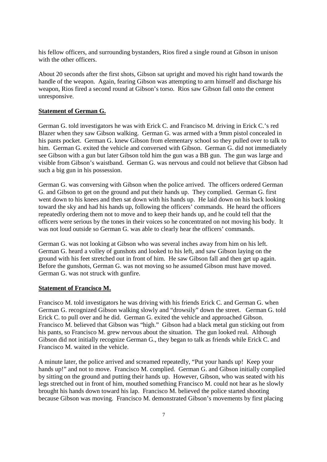his fellow officers, and surrounding bystanders, Rios fired a single round at Gibson in unison with the other officers.

About 20 seconds after the first shots, Gibson sat upright and moved his right hand towards the handle of the weapon. Again, fearing Gibson was attempting to arm himself and discharge his weapon, Rios fired a second round at Gibson's torso. Rios saw Gibson fall onto the cement unresponsive.

#### **Statement of German G.**

German G. told investigators he was with Erick C. and Francisco M. driving in Erick C.'s red Blazer when they saw Gibson walking. German G. was armed with a 9mm pistol concealed in his pants pocket. German G. knew Gibson from elementary school so they pulled over to talk to him. German G. exited the vehicle and conversed with Gibson. German G. did not immediately see Gibson with a gun but later Gibson told him the gun was a BB gun. The gun was large and visible from Gibson's waistband. German G. was nervous and could not believe that Gibson had such a big gun in his possession.

German G. was conversing with Gibson when the police arrived. The officers ordered German G. and Gibson to get on the ground and put their hands up. They complied. German G. first went down to his knees and then sat down with his hands up. He laid down on his back looking toward the sky and had his hands up, following the officers' commands. He heard the officers repeatedly ordering them not to move and to keep their hands up, and he could tell that the officers were serious by the tones in their voices so he concentrated on not moving his body. It was not loud outside so German G. was able to clearly hear the officers' commands.

German G. was not looking at Gibson who was several inches away from him on his left. German G. heard a volley of gunshots and looked to his left, and saw Gibson laying on the ground with his feet stretched out in front of him. He saw Gibson fall and then get up again. Before the gunshots, German G. was not moving so he assumed Gibson must have moved. German G. was not struck with gunfire.

#### **Statement of Francisco M.**

Francisco M. told investigators he was driving with his friends Erick C. and German G. when German G. recognized Gibson walking slowly and "drowsily" down the street. German G. told Erick C. to pull over and he did. German G. exited the vehicle and approached Gibson. Francisco M. believed that Gibson was "high." Gibson had a black metal gun sticking out from his pants, so Francisco M. grew nervous about the situation. The gun looked real. Although Gibson did not initially recognize German G., they began to talk as friends while Erick C. and Francisco M. waited in the vehicle.

A minute later, the police arrived and screamed repeatedly, "Put your hands up! Keep your hands up!" and not to move. Francisco M. complied. German G. and Gibson initially complied by sitting on the ground and putting their hands up. However, Gibson, who was seated with his legs stretched out in front of him, mouthed something Francisco M. could not hear as he slowly brought his hands down toward his lap. Francisco M. believed the police started shooting because Gibson was moving. Francisco M. demonstrated Gibson's movements by first placing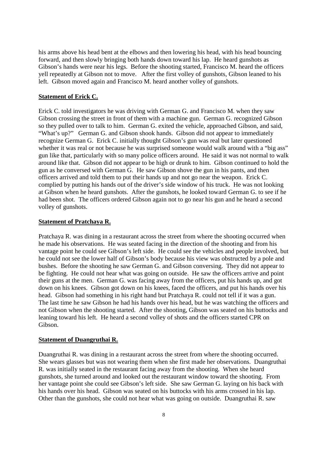his arms above his head bent at the elbows and then lowering his head, with his head bouncing forward, and then slowly bringing both hands down toward his lap. He heard gunshots as Gibson's hands were near his legs. Before the shooting started, Francisco M. heard the officers yell repeatedly at Gibson not to move. After the first volley of gunshots, Gibson leaned to his left. Gibson moved again and Francisco M. heard another volley of gunshots.

#### **Statement of Erick C.**

Erick C. told investigators he was driving with German G. and Francisco M. when they saw Gibson crossing the street in front of them with a machine gun. German G. recognized Gibson so they pulled over to talk to him. German G. exited the vehicle, approached Gibson, and said, "What's up?" German G. and Gibson shook hands. Gibson did not appear to immediately recognize German G. Erick C. initially thought Gibson's gun was real but later questioned whether it was real or not because he was surprised someone would walk around with a "big ass" gun like that, particularly with so many police officers around. He said it was not normal to walk around like that. Gibson did not appear to be high or drunk to him. Gibson continued to hold the gun as he conversed with German G. He saw Gibson shove the gun in his pants, and then officers arrived and told them to put their hands up and not go near the weapon. Erick C. complied by putting his hands out of the driver's side window of his truck. He was not looking at Gibson when he heard gunshots. After the gunshots, he looked toward German G. to see if he had been shot. The officers ordered Gibson again not to go near his gun and he heard a second volley of gunshots.

#### **Statement of Pratchaya R.**

Pratchaya R. was dining in a restaurant across the street from where the shooting occurred when he made his observations. He was seated facing in the direction of the shooting and from his vantage point he could see Gibson's left side. He could see the vehicles and people involved, but he could not see the lower half of Gibson's body because his view was obstructed by a pole and bushes. Before the shooting he saw German G. and Gibson conversing. They did not appear to be fighting. He could not hear what was going on outside. He saw the officers arrive and point their guns at the men. German G. was facing away from the officers, put his hands up, and got down on his knees. Gibson got down on his knees, faced the officers, and put his hands over his head. Gibson had something in his right hand but Pratchaya R. could not tell if it was a gun. The last time he saw Gibson he had his hands over his head, but he was watching the officers and not Gibson when the shooting started. After the shooting, Gibson was seated on his buttocks and leaning toward his left. He heard a second volley of shots and the officers started CPR on Gibson.

#### **Statement of Duangruthai R.**

Duangruthai R. was dining in a restaurant across the street from where the shooting occurred. She wears glasses but was not wearing them when she first made her observations. Duangruthai R. was initially seated in the restaurant facing away from the shooting. When she heard gunshots, she turned around and looked out the restaurant window toward the shooting. From her vantage point she could see Gibson's left side. She saw German G. laying on his back with his hands over his head. Gibson was seated on his buttocks with his arms crossed in his lap. Other than the gunshots, she could not hear what was going on outside. Duangruthai R. saw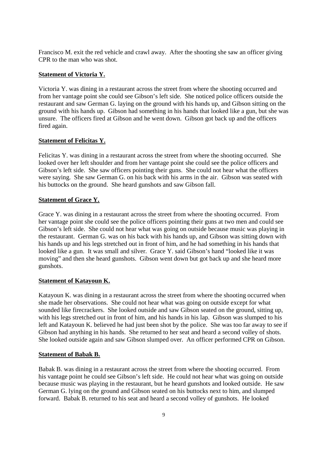Francisco M. exit the red vehicle and crawl away. After the shooting she saw an officer giving CPR to the man who was shot.

#### **Statement of Victoria Y.**

Victoria Y. was dining in a restaurant across the street from where the shooting occurred and from her vantage point she could see Gibson's left side. She noticed police officers outside the restaurant and saw German G. laying on the ground with his hands up, and Gibson sitting on the ground with his hands up. Gibson had something in his hands that looked like a gun, but she was unsure. The officers fired at Gibson and he went down. Gibson got back up and the officers fired again.

### **Statement of Felicitas Y.**

Felicitas Y. was dining in a restaurant across the street from where the shooting occurred. She looked over her left shoulder and from her vantage point she could see the police officers and Gibson's left side. She saw officers pointing their guns. She could not hear what the officers were saying. She saw German G. on his back with his arms in the air. Gibson was seated with his buttocks on the ground. She heard gunshots and saw Gibson fall.

## **Statement of Grace Y.**

Grace Y. was dining in a restaurant across the street from where the shooting occurred. From her vantage point she could see the police officers pointing their guns at two men and could see Gibson's left side. She could not hear what was going on outside because music was playing in the restaurant. German G. was on his back with his hands up, and Gibson was sitting down with his hands up and his legs stretched out in front of him, and he had something in his hands that looked like a gun. It was small and silver. Grace Y. said Gibson's hand "looked like it was moving" and then she heard gunshots. Gibson went down but got back up and she heard more gunshots.

## **Statement of Katayoun K.**

Katayoun K. was dining in a restaurant across the street from where the shooting occurred when she made her observations. She could not hear what was going on outside except for what sounded like firecrackers. She looked outside and saw Gibson seated on the ground, sitting up, with his legs stretched out in front of him, and his hands in his lap. Gibson was slumped to his left and Katayoun K. believed he had just been shot by the police. She was too far away to see if Gibson had anything in his hands. She returned to her seat and heard a second volley of shots. She looked outside again and saw Gibson slumped over. An officer performed CPR on Gibson.

#### **Statement of Babak B.**

Babak B. was dining in a restaurant across the street from where the shooting occurred. From his vantage point he could see Gibson's left side. He could not hear what was going on outside because music was playing in the restaurant, but he heard gunshots and looked outside. He saw German G. lying on the ground and Gibson seated on his buttocks next to him, and slumped forward. Babak B. returned to his seat and heard a second volley of gunshots. He looked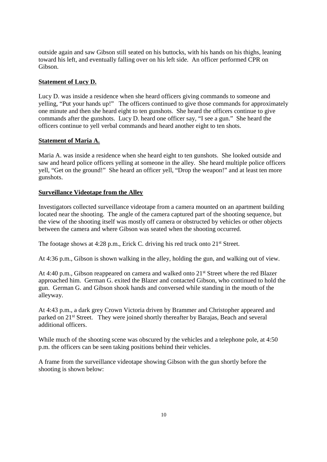outside again and saw Gibson still seated on his buttocks, with his hands on his thighs, leaning toward his left, and eventually falling over on his left side. An officer performed CPR on Gibson.

## **Statement of Lucy D.**

Lucy D. was inside a residence when she heard officers giving commands to someone and yelling, "Put your hands up!" The officers continued to give those commands for approximately one minute and then she heard eight to ten gunshots. She heard the officers continue to give commands after the gunshots. Lucy D. heard one officer say, "I see a gun." She heard the officers continue to yell verbal commands and heard another eight to ten shots.

## **Statement of Maria A.**

Maria A. was inside a residence when she heard eight to ten gunshots. She looked outside and saw and heard police officers yelling at someone in the alley. She heard multiple police officers yell, "Get on the ground!" She heard an officer yell, "Drop the weapon!" and at least ten more gunshots.

## **Surveillance Videotape from the Alley**

Investigators collected surveillance videotape from a camera mounted on an apartment building located near the shooting. The angle of the camera captured part of the shooting sequence, but the view of the shooting itself was mostly off camera or obstructed by vehicles or other objects between the camera and where Gibson was seated when the shooting occurred.

The footage shows at 4:28 p.m., Erick C. driving his red truck onto 21<sup>st</sup> Street.

At 4:36 p.m., Gibson is shown walking in the alley, holding the gun, and walking out of view.

At 4:40 p.m., Gibson reappeared on camera and walked onto 21<sup>st</sup> Street where the red Blazer approached him. German G. exited the Blazer and contacted Gibson, who continued to hold the gun. German G. and Gibson shook hands and conversed while standing in the mouth of the alleyway.

At 4:43 p.m., a dark grey Crown Victoria driven by Brammer and Christopher appeared and parked on 21st Street. They were joined shortly thereafter by Barajas, Beach and several additional officers.

While much of the shooting scene was obscured by the vehicles and a telephone pole, at 4:50 p.m. the officers can be seen taking positions behind their vehicles.

A frame from the surveillance videotape showing Gibson with the gun shortly before the shooting is shown below: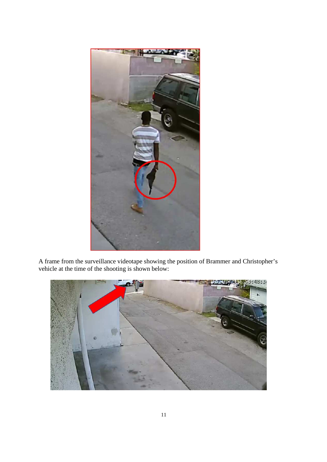

A frame from the surveillance videotape showing the position of Brammer and Christopher's vehicle at the time of the shooting is shown below:

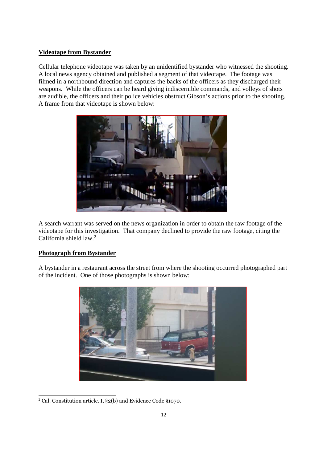## **Videotape from Bystander**

Cellular telephone videotape was taken by an unidentified bystander who witnessed the shooting. A local news agency obtained and published a segment of that videotape. The footage was filmed in a northbound direction and captures the backs of the officers as they discharged their weapons. While the officers can be heard giving indiscernible commands, and volleys of shots are audible, the officers and their police vehicles obstruct Gibson's actions prior to the shooting. A frame from that videotape is shown below:



A search warrant was served on the news organization in order to obtain the raw footage of the videotape for this investigation. That company declined to provide the raw footage, citing the California shield law.<sup>2</sup>

## **Photograph from Bystander**

A bystander in a restaurant across the street from where the shooting occurred photographed part of the incident. One of those photographs is shown below:



<sup>2</sup> Cal. Constitution article. I, §2(b) and Evidence Code §1070.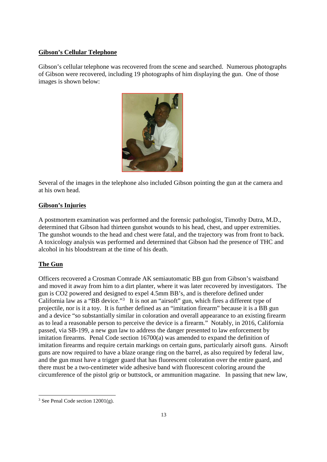### **Gibson's Cellular Telephone**

Gibson's cellular telephone was recovered from the scene and searched. Numerous photographs of Gibson were recovered, including 19 photographs of him displaying the gun. One of those images is shown below:



Several of the images in the telephone also included Gibson pointing the gun at the camera and at his own head.

## **Gibson's Injuries**

A postmortem examination was performed and the forensic pathologist, Timothy Dutra, M.D., determined that Gibson had thirteen gunshot wounds to his head, chest, and upper extremities. The gunshot wounds to the head and chest were fatal, and the trajectory was from front to back. A toxicology analysis was performed and determined that Gibson had the presence of THC and alcohol in his bloodstream at the time of his death.

## **The Gun**

Officers recovered a Crosman Comrade AK semiautomatic BB gun from Gibson's waistband and moved it away from him to a dirt planter, where it was later recovered by investigators. The gun is CO2 powered and designed to expel 4.5mm BB's, and is therefore defined under California law as a "BB device."<sup>3</sup> It is not an "airsoft" gun, which fires a different type of projectile, nor is it a toy. It is further defined as an "imitation firearm" because it is a BB gun and a device "so substantially similar in coloration and overall appearance to an existing firearm as to lead a reasonable person to perceive the device is a firearm." Notably, in 2016, California passed, via SB-199, a new gun law to address the danger presented to law enforcement by imitation firearms. Penal Code section 16700(a) was amended to expand the definition of imitation firearms and require certain markings on certain guns, particularly airsoft guns. Airsoft guns are now required to have a blaze orange ring on the barrel, as also required by federal law, and the gun must have a trigger guard that has fluorescent coloration over the entire guard, and there must be a two-centimeter wide adhesive band with fluorescent coloring around the circumference of the pistol grip or buttstock, or ammunition magazine. In passing that new law,

<sup>&</sup>lt;sup>3</sup> See Penal Code section  $12001(g)$ .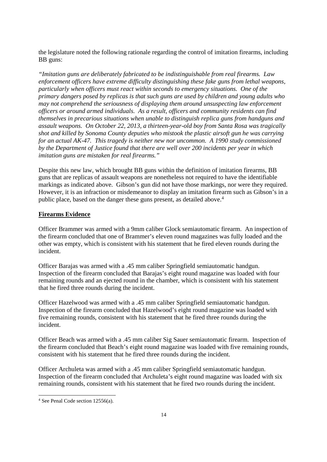the legislature noted the following rationale regarding the control of imitation firearms, including BB guns:

*"Imitation guns are deliberately fabricated to be indistinguishable from real firearms. Law enforcement officers have extreme difficulty distinguishing these fake guns from lethal weapons, particularly when officers must react within seconds to emergency situations. One of the primary dangers posed by replicas is that such guns are used by children and young adults who may not comprehend the seriousness of displaying them around unsuspecting law enforcement officers or around armed individuals. As a result, officers and community residents can find themselves in precarious situations when unable to distinguish replica guns from handguns and assault weapons. On October 22, 2013, a thirteen-year-old boy from Santa Rosa was tragically shot and killed by Sonoma County deputies who mistook the plastic airsoft gun he was carrying for an actual AK-47. This tragedy is neither new nor uncommon. A 1990 study commissioned by the Department of Justice found that there are well over 200 incidents per year in which imitation guns are mistaken for real firearms."*

Despite this new law, which brought BB guns within the definition of imitation firearms, BB guns that are replicas of assault weapons are nonetheless not required to have the identifiable markings as indicated above. Gibson's gun did not have those markings, nor were they required. However, it is an infraction or misdemeanor to display an imitation firearm such as Gibson's in a public place, based on the danger these guns present, as detailed above.<sup>4</sup>

#### **Firearms Evidence**

Officer Brammer was armed with a 9mm caliber Glock semiautomatic firearm. An inspection of the firearm concluded that one of Brammer's eleven round magazines was fully loaded and the other was empty, which is consistent with his statement that he fired eleven rounds during the incident.

Officer Barajas was armed with a .45 mm caliber Springfield semiautomatic handgun. Inspection of the firearm concluded that Barajas's eight round magazine was loaded with four remaining rounds and an ejected round in the chamber, which is consistent with his statement that he fired three rounds during the incident.

Officer Hazelwood was armed with a .45 mm caliber Springfield semiautomatic handgun. Inspection of the firearm concluded that Hazelwood's eight round magazine was loaded with five remaining rounds, consistent with his statement that he fired three rounds during the incident.

Officer Beach was armed with a .45 mm caliber Sig Sauer semiautomatic firearm. Inspection of the firearm concluded that Beach's eight round magazine was loaded with five remaining rounds, consistent with his statement that he fired three rounds during the incident.

Officer Archuleta was armed with a .45 mm caliber Springfield semiautomatic handgun. Inspection of the firearm concluded that Archuleta's eight round magazine was loaded with six remaining rounds, consistent with his statement that he fired two rounds during the incident.

<sup>4</sup> See Penal Code section 12556(a).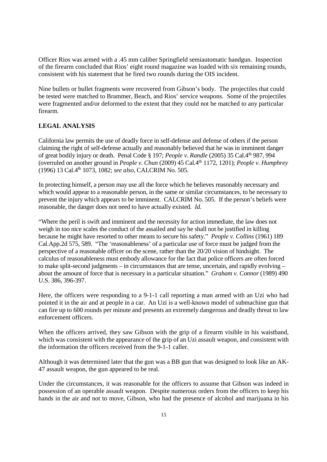Officer Rios was armed with a .45 mm caliber Springfield semiautomatic handgun. Inspection of the firearm concluded that Rios' eight round magazine was loaded with six remaining rounds, consistent with his statement that he fired two rounds during the OIS incident.

Nine bullets or bullet fragments were recovered from Gibson's body. The projectiles that could be tested were matched to Brammer, Beach, and Rios' service weapons. Some of the projectiles were fragmented and/or deformed to the extent that they could not be matched to any particular firearm.

## **LEGAL ANALYSIS**

California law permits the use of deadly force in self-defense and defense of others if the person claiming the right of self-defense actually and reasonably believed that he was in imminent danger of great bodily injury or death. Penal Code § 197; *People v. Randle* (2005) 35 Cal.4th 987, 994 (overruled on another ground in *People v. Chun* (2009) 45 Cal.4th 1172, 1201); *People v. Humphrey* (1996) 13 Cal.4th 1073, 1082; *see also,* CALCRIM No. 505.

In protecting himself, a person may use all the force which he believes reasonably necessary and which would appear to a reasonable person, in the same or similar circumstances, to be necessary to prevent the injury which appears to be imminent. CALCRIM No. 505. If the person's beliefs were reasonable, the danger does not need to have actually existed. *Id.*

"Where the peril is swift and imminent and the necessity for action immediate, the law does not weigh in too nice scales the conduct of the assailed and say he shall not be justified in killing because he might have resorted to other means to secure his safety." *People v. Collins* (1961) 189 Cal.App.2d 575, 589. "The 'reasonableness' of a particular use of force must be judged from the perspective of a reasonable officer on the scene, rather than the 20/20 vision of hindsight. The calculus of reasonableness must embody allowance for the fact that police officers are often forced to make split-second judgments – in circumstances that are tense, uncertain, and rapidly evolving – about the amount of force that is necessary in a particular situation." *Graham v. Connor* (1989) 490 U.S. 386, 396-397.

Here, the officers were responding to a 9-1-1 call reporting a man armed with an Uzi who had pointed it in the air and at people in a car. An Uzi is a well-known model of submachine gun that can fire up to 600 rounds per minute and presents an extremely dangerous and deadly threat to law enforcement officers.

When the officers arrived, they saw Gibson with the grip of a firearm visible in his waistband, which was consistent with the appearance of the grip of an Uzi assault weapon, and consistent with the information the officers received from the 9-1-1 caller.

Although it was determined later that the gun was a BB gun that was designed to look like an AK-47 assault weapon, the gun appeared to be real.

Under the circumstances, it was reasonable for the officers to assume that Gibson was indeed in possession of an operable assault weapon. Despite numerous orders from the officers to keep his hands in the air and not to move, Gibson, who had the presence of alcohol and marijuana in his